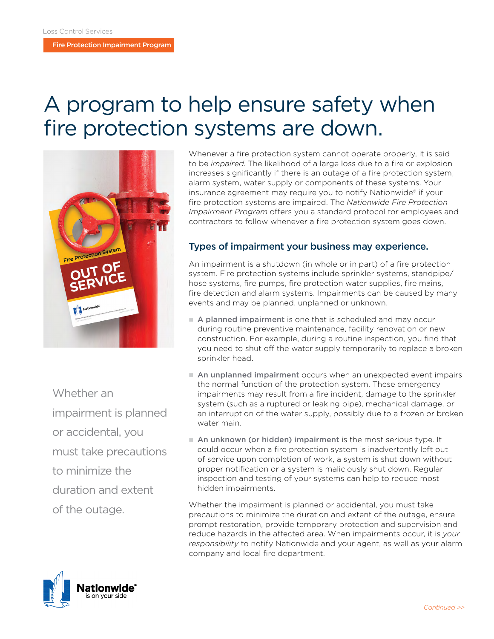Fire Protection Impairment Program

# A program to help ensure safety when fire protection systems are down.



Whether an impairment is planned or accidental, you must take precautions to minimize the duration and extent of the outage.

Whenever a fire protection system cannot operate properly, it is said to be *impaired*. The likelihood of a large loss due to a fire or explosion increases significantly if there is an outage of a fire protection system, alarm system, water supply or components of these systems. Your insurance agreement may require you to notify Nationwide® if your fire protection systems are impaired. The *Nationwide Fire Protection Impairment Program* offers you a standard protocol for employees and contractors to follow whenever a fire protection system goes down.

### Types of impairment your business may experience.

An impairment is a shutdown (in whole or in part) of a fire protection system. Fire protection systems include sprinkler systems, standpipe/ hose systems, fire pumps, fire protection water supplies, fire mains, fire detection and alarm systems. Impairments can be caused by many events and may be planned, unplanned or unknown.

- A planned impairment is one that is scheduled and may occur during routine preventive maintenance, facility renovation or new construction. For example, during a routine inspection, you find that you need to shut off the water supply temporarily to replace a broken sprinkler head.
- n An unplanned impairment occurs when an unexpected event impairs the normal function of the protection system. These emergency impairments may result from a fire incident, damage to the sprinkler system (such as a ruptured or leaking pipe), mechanical damage, or an interruption of the water supply, possibly due to a frozen or broken water main.
- An unknown (or hidden) impairment is the most serious type. It could occur when a fire protection system is inadvertently left out of service upon completion of work, a system is shut down without proper notification or a system is maliciously shut down. Regular inspection and testing of your systems can help to reduce most hidden impairments.

Whether the impairment is planned or accidental, you must take precautions to minimize the duration and extent of the outage, ensure prompt restoration, provide temporary protection and supervision and reduce hazards in the affected area. When impairments occur, it is *your responsibility* to notify Nationwide and your agent, as well as your alarm company and local fire department.